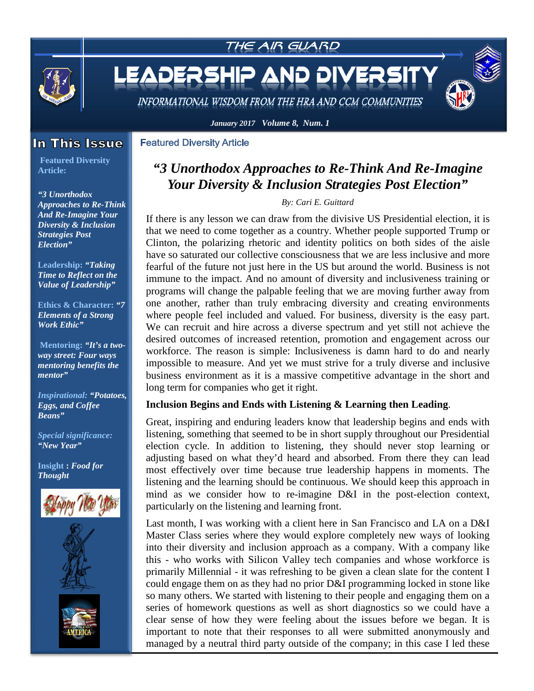

INFORMATIONAL WISDOM FROM THE HRA AND CCM COMMUNITIES

*January 2017 Volume 8, Num. 1*

**Featured Diversity Article** 

## In This Issue

**Featured Diversity Article:**

*"3 Unorthodox Approaches to Re-Think And Re-Imagine Your Diversity & Inclusion Strategies Post Election"*

**[Leadership:](#page-4-0)** *"Taking Time to Reflect on the Value of Leadership"*

**[Ethics & Character:](#page-4-0)** *"7 Elements of a Strong Work Ethic"*

**Mentoring:** *"It's a twoway street: Four ways mentoring benefits the mentor"*

*[Inspirational:](#page-7-0) "Potatoes, Eggs, and Coffee Beans"*

*Special significance: "New Year"*

**Insight :** *Food for Thought* 







## *"3 Unorthodox Approaches to Re-Think And Re-Imagine Your Diversity & Inclusion Strategies Post Election"*

#### *By: Cari E. Guittard*

If there is any lesson we can draw from the divisive US Presidential election, it is that we need to come together as a country. Whether people supported Trump or Clinton, the polarizing rhetoric and identity politics on both sides of the aisle have so saturated our collective consciousness that we are less inclusive and more fearful of the future not just here in the US but around the world. Business is not immune to the impact. And no amount of diversity and inclusiveness training or programs will change the palpable feeling that we are moving further away from one another, rather than truly embracing diversity and creating environments where people feel included and valued. For business, diversity is the easy part. We can recruit and hire across a diverse spectrum and yet still not achieve the desired outcomes of increased retention, promotion and engagement across our workforce. The reason is simple: Inclusiveness is damn hard to do and nearly impossible to measure. And yet we must strive for a truly diverse and inclusive business environment as it is a massive competitive advantage in the short and long term for companies who get it right.

### **Inclusion Begins and Ends with Listening & Learning then Leading**.

Great, inspiring and enduring leaders know that leadership begins and ends with listening, something that seemed to be in short supply throughout our Presidential election cycle. In addition to listening, they should never stop learning or adjusting based on what they'd heard and absorbed. From there they can lead most effectively over time because true leadership happens in moments. The listening and the learning should be continuous. We should keep this approach in mind as we consider how to re-imagine D&I in the post-election context, particularly on the listening and learning front.

Last month, I was working with a client here in San Francisco and LA on a D&I Master Class series where they would explore completely new ways of looking into their diversity and inclusion approach as a company. With a company like this - who works with Silicon Valley tech companies and whose workforce is primarily Millennial - it was refreshing to be given a clean slate for the content I could engage them on as they had no prior D&I programming locked in stone like so many others. We started with listening to their people and engaging them on a series of homework questions as well as short diagnostics so we could have a clear sense of how they were feeling about the issues before we began. It is important to note that their responses to all were submitted anonymously and managed by a neutral third party outside of the company; in this case I led these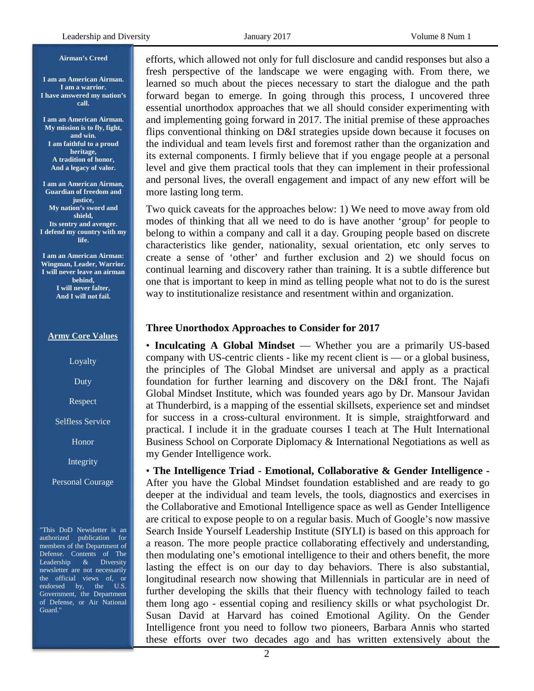#### **Airman's Creed**

**I am an American Airman. I am a warrior. I have answered my nation's call.**

**I am an American Airman. My mission is to fly, fight, and win. I am faithful to a proud heritage, A tradition of honor, And a legacy of valor.**

**I am an American Airman, Guardian of freedom and justice, My nation's sword and shield, Its sentry and avenger. I defend my country with my life.**

**I am an American Airman: Wingman, Leader, Warrior. I will never leave an airman behind, I will never falter, And I will not fail.**

#### **Army Core Values**

Loyalty

Duty

Respect

Selfless Service

Honor

Integrity

Personal Courage

"This DoD Newsletter is an authorized publication for members of the Department of Defense. Contents of The Leadership & Diversity newsletter are not necessarily the official views of, or endorsed by, the U.S. Government, the Department of Defense, or Air National Guard."

efforts, which allowed not only for full disclosure and candid responses but also a fresh perspective of the landscape we were engaging with. From there, we learned so much about the pieces necessary to start the dialogue and the path forward began to emerge. In going through this process, I uncovered three essential unorthodox approaches that we all should consider experimenting with and implementing going forward in 2017. The initial premise of these approaches flips conventional thinking on D&I strategies upside down because it focuses on the individual and team levels first and foremost rather than the organization and its external components. I firmly believe that if you engage people at a personal level and give them practical tools that they can implement in their professional and personal lives, the overall engagement and impact of any new effort will be more lasting long term.

Two quick caveats for the approaches below: 1) We need to move away from old modes of thinking that all we need to do is have another 'group' for people to belong to within a company and call it a day. Grouping people based on discrete characteristics like gender, nationality, sexual orientation, etc only serves to create a sense of 'other' and further exclusion and 2) we should focus on continual learning and discovery rather than training. It is a subtle difference but one that is important to keep in mind as telling people what not to do is the surest way to institutionalize resistance and resentment within and organization.

#### **Three Unorthodox Approaches to Consider for 2017**

• **Inculcating A Global Mindset** — Whether you are a primarily US-based company with US-centric clients - like my recent client is — or a global business, the principles of The Global Mindset are universal and apply as a practical foundation for further learning and discovery on the D&I front. The Najafi Global Mindset Institute, which was founded years ago by Dr. Mansour Javidan at Thunderbird, is a mapping of the essential skillsets, experience set and mindset for success in a cross-cultural environment. It is simple, straightforward and practical. I include it in the graduate courses I teach at The Hult International Business School on Corporate Diplomacy & International Negotiations as well as my Gender Intelligence work.

• **The Intelligence Triad - Emotional, Collaborative & Gender Intelligence -** After you have the Global Mindset foundation established and are ready to go deeper at the individual and team levels, the tools, diagnostics and exercises in the Collaborative and Emotional Intelligence space as well as Gender Intelligence are critical to expose people to on a regular basis. Much of Google's now massive Search Inside Yourself Leadership Institute (SIYLI) is based on this approach for a reason. The more people practice collaborating effectively and understanding, then modulating one's emotional intelligence to their and others benefit, the more lasting the effect is on our day to day behaviors. There is also substantial, longitudinal research now showing that Millennials in particular are in need of further developing the skills that their fluency with technology failed to teach them long ago - essential coping and resiliency skills or what psychologist Dr. Susan David at Harvard has coined Emotional Agility. On the Gender Intelligence front you need to follow two pioneers, Barbara Annis who started these efforts over two decades ago and has written extensively about the

2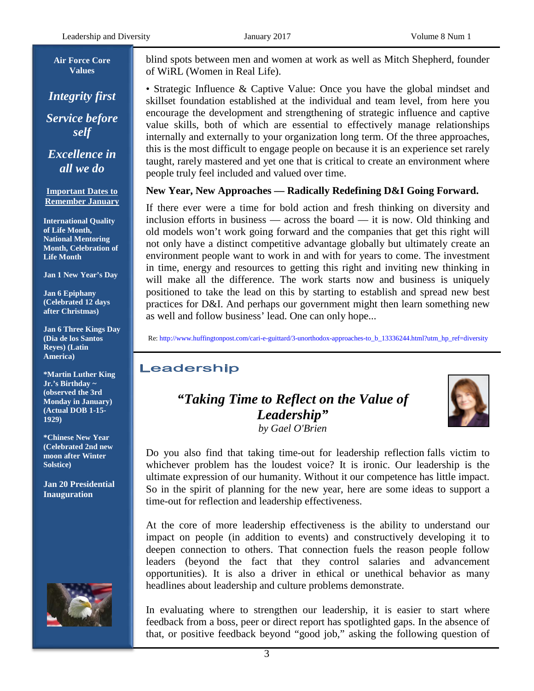**Air Force Core Values**

*Integrity first Service before self*

*Excellence in all we do*

**Important Dates to Remember January**

**International Quality of Life Month, National Mentoring Month, Celebration of Life Month**

**Jan 1 New Year's Day**

**Jan 6 Epiphany (Celebrated 12 days after Christmas)**

**Jan 6 Three Kings Day (Dia de los Santos Reyes) (Latin America)**

**\*Martin Luther King Jr.'s Birthday ~ (observed the 3rd Monday in January) (Actual DOB 1-15- 1929)**

**\*Chinese New Year (Celebrated 2nd new moon after Winter Solstice)**

**Jan 20 Presidential Inauguration**



blind spots between men and women at work as well as Mitch Shepherd, founder of WiRL (Women in Real Life).

• Strategic Influence & Captive Value: Once you have the global mindset and skillset foundation established at the individual and team level, from here you encourage the development and strengthening of strategic influence and captive value skills, both of which are essential to effectively manage relationships internally and externally to your organization long term. Of the three approaches, this is the most difficult to engage people on because it is an experience set rarely taught, rarely mastered and yet one that is critical to create an environment where people truly feel included and valued over time.

## **New Year, New Approaches — Radically Redefining D&I Going Forward.**

If there ever were a time for bold action and fresh thinking on diversity and inclusion efforts in business — across the board — it is now. Old thinking and old models won't work going forward and the companies that get this right will not only have a distinct competitive advantage globally but ultimately create an environment people want to work in and with for years to come. The investment in time, energy and resources to getting this right and inviting new thinking in will make all the difference. The work starts now and business is uniquely positioned to take the lead on this by starting to establish and spread new best practices for D&I. And perhaps our government might then learn something new as well and follow business' lead. One can only hope...

Re[: http://www.huffingtonpost.com/cari-e-guittard/3-unorthodox-approaches-to\\_b\\_13336244.html?utm\\_hp\\_ref=diversity](http://www.huffingtonpost.com/cari-e-guittard/3-unorthodox-approaches-to_b_13336244.html?utm_hp_ref=diversity)

## Leadership

*"Taking Time to Reflect on the Value of Leadership" by Gael O'Brien*



Do you also find that taking time-out for leadership reflection falls victim to whichever problem has the loudest voice? It is ironic. Our leadership is the ultimate expression of our humanity. Without it our competence has little impact. So in the spirit of planning for the new year, here are some ideas to support a time-out for reflection and leadership effectiveness.

At the core of more leadership effectiveness is the ability to understand our impact on people (in addition to events) and constructively developing it to deepen connection to others. That connection fuels the reason people follow leaders (beyond the fact that they control salaries and advancement opportunities). It is also a driver in ethical or unethical behavior as many headlines about leadership and culture problems demonstrate.

In evaluating where to strengthen our leadership, it is easier to start where feedback from a boss, peer or direct report has spotlighted gaps. In the absence of that, or positive feedback beyond "good job," asking the following question of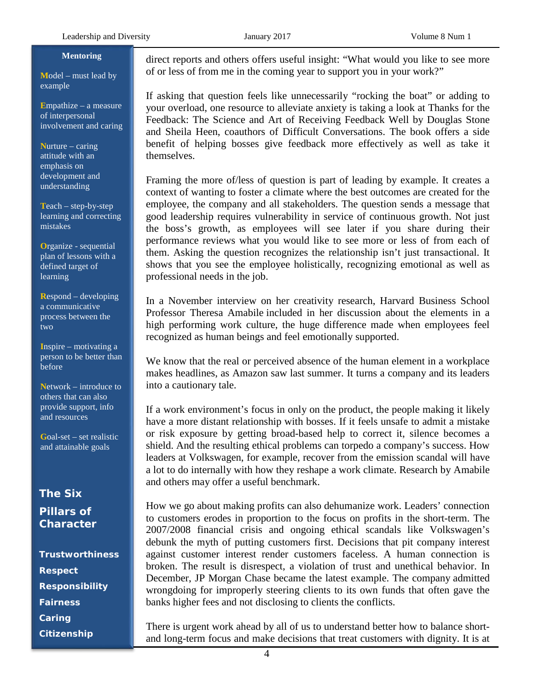#### **Mentoring**

**M**odel – must lead by example

**E**mpathize – a measure of interpersonal involvement and caring

**N**urture – caring attitude with an emphasis on development and understanding

**T**each – step-by-step learning and correcting mistakes

**O**rganize - sequential plan of lessons with a defined target of learning

**R**espond – developing a communicative process between the two

**I**nspire – motivating a person to be better than before

**N**etwork – introduce to others that can also provide support, info and resources

**G**oal-set – set realistic and attainable goals

## **The Six Pillars of Character**

**Trustworthiness Respect Responsibility Fairness Caring Citizenship**

direct reports and others offers useful insight: "What would you like to see more of or less of from me in the coming year to support you in your work?"

If asking that question feels like unnecessarily "rocking the boat" or adding to your overload, one resource to alleviate anxiety is taking a look at Thanks for the Feedback: The Science and Art of Receiving Feedback Well by Douglas Stone and Sheila Heen, coauthors of Difficult Conversations. The book offers a side benefit of helping bosses give feedback more effectively as well as take it themselves.

Framing the more of/less of question is part of leading by example. It creates a context of wanting to foster a climate where the best outcomes are created for the employee, the company and all stakeholders. The question sends a message that good leadership requires vulnerability in service of continuous growth. Not just the boss's growth, as employees will see later if you share during their performance reviews what you would like to see more or less of from each of them. Asking the question recognizes the relationship isn't just transactional. It shows that you see the employee holistically, recognizing emotional as well as professional needs in the job.

In a November interview on her creativity research, Harvard Business School Professor Theresa Amabile included in her discussion about the elements in a high performing work culture, the huge difference made when employees feel recognized as human beings and feel emotionally supported.

We know that the real or perceived absence of the human element in a workplace makes headlines, as Amazon saw last summer. It turns a company and its leaders into a cautionary tale.

If a work environment's focus in only on the product, the people making it likely have a more distant relationship with bosses. If it feels unsafe to admit a mistake or risk exposure by getting broad-based help to correct it, silence becomes a shield. And the resulting ethical problems can torpedo a company's success. How leaders at Volkswagen, for example, recover from the emission scandal will have a lot to do internally with how they reshape a work climate. Research by Amabile and others may offer a useful benchmark.

How we go about making profits can also dehumanize work. Leaders' connection to customers erodes in proportion to the focus on profits in the short-term. The 2007/2008 financial crisis and ongoing ethical scandals like Volkswagen's debunk the myth of putting customers first. Decisions that pit company interest against customer interest render customers faceless. A human connection is broken. The result is disrespect, a violation of trust and unethical behavior. In December, JP Morgan Chase became the latest example. The company admitted wrongdoing for improperly steering clients to its own funds that often gave the banks higher fees and not disclosing to clients the conflicts.

There is urgent work ahead by all of us to understand better how to balance shortand long-term focus and make decisions that treat customers with dignity. It is at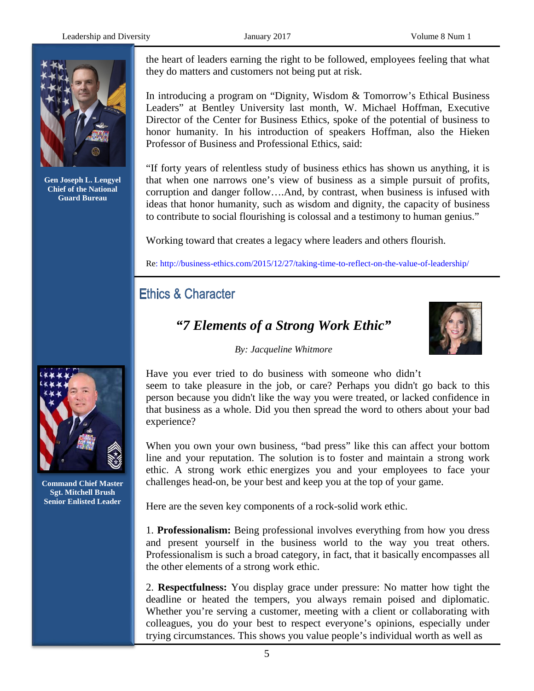

**Gen Joseph L. Lengyel Chief of the National Guard Bureau**



**Command Chief Master Sgt. Mitchell Brush Senior Enlisted Leader**

the heart of leaders earning the right to be followed, employees feeling that what they do matters and customers not being put at risk.

In introducing a program on "Dignity, Wisdom & Tomorrow's Ethical Business Leaders" at Bentley University last month, W. Michael Hoffman, Executive Director of the Center for Business Ethics, spoke of the potential of business to honor humanity. In his introduction of speakers Hoffman, also the Hieken Professor of Business and Professional Ethics, said:

"If forty years of relentless study of business ethics has shown us anything, it is that when one narrows one's view of business as a simple pursuit of profits, corruption and danger follow….And, by contrast, when business is infused with ideas that honor humanity, such as wisdom and dignity, the capacity of business to contribute to social flourishing is colossal and a testimony to human genius."

Working toward that creates a legacy where leaders and others flourish.

Re:<http://business-ethics.com/2015/12/27/taking-time-to-reflect-on-the-value-of-leadership/>

# <span id="page-4-0"></span>**Ethics & Character**

# *"7 Elements [of a Strong Work Ethic"](https://www.entrepreneur.com/author/jacqueline-whitmore)*



*[By: Jacqueline Whitmore](https://www.entrepreneur.com/author/jacqueline-whitmore)*

Have you ever tried to do business with someone who didn't

seem to take pleasure in the job, or care? Perhaps you didn't go back to this person because you didn't like the way you were treated, or lacked confidence in that business as a whole. Did you then spread the word to others about your bad experience?

When you own your own business, "bad press" like this can affect your bottom line and your reputation. The solution is to foster and maintain a strong work ethic. A strong work ethic energizes you and your employees to face your challenges head-on, be your best and keep you at the top of your game.

Here are the seven key components of a rock-solid work ethic.

1. **Professionalism:** Being professional involves everything from how you dress and present yourself in the business world to the way you treat others. Professionalism is such a broad category, in fact, that it basically encompasses all the other elements of a strong work ethic.

2. **Respectfulness:** You display grace under pressure: No matter how tight the deadline or heated the tempers, you always remain poised and diplomatic. Whether you're serving a customer, meeting with a client or collaborating with colleagues, you do your best to respect everyone's opinions, especially under trying circumstances. This shows you value people's individual worth as well as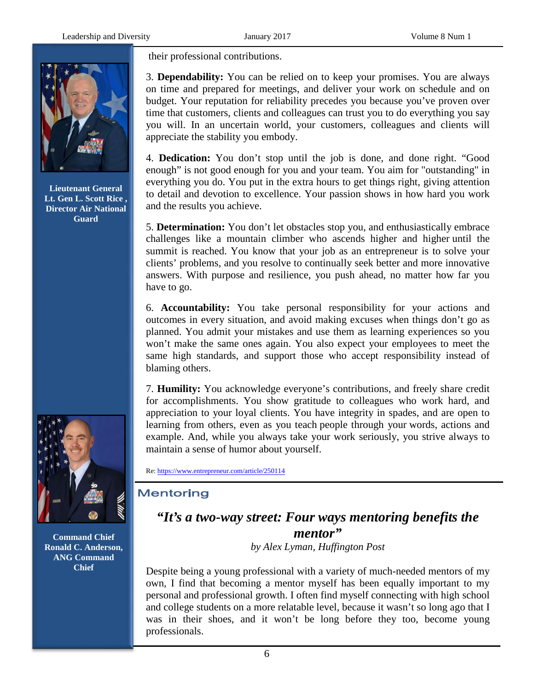

**Lieutenant General Lt. Gen L. Scott Rice , Director Air National Guard**



**Command Chief Ronald C. Anderson, ANG Command Chief**

their professional contributions.

3. **Dependability:** You can be relied on to keep your promises. You are always on time and prepared for meetings, and deliver your work on schedule and on budget. Your reputation for reliability precedes you because you've proven over time that customers, clients and colleagues can trust you to do everything you say you will. In an uncertain world, your customers, colleagues and clients will appreciate the stability you embody.

4. **Dedication:** You don't stop until the job is done, and done right. "Good enough" is not good enough for you and your team. You aim for "outstanding" in everything you do. You put in the extra hours to get things right, giving attention to detail and devotion to excellence. Your passion shows in how hard you work and the results you achieve.

5. **Determination:** You don't let obstacles stop you, and enthusiastically embrace challenges like a mountain climber who ascends higher and higher until the summit is reached. You know that your job as an entrepreneur is to solve your clients' problems, and you resolve to continually seek better and more innovative answers. With purpose and resilience, you push ahead, no matter how far you have to go.

6. **Accountability:** You take personal responsibility for your actions and outcomes in every situation, and avoid making excuses when things don't go as planned. You admit your mistakes and use them as learning experiences so you won't make the same ones again. You also expect your employees to meet the same high standards, and support those who accept responsibility instead of blaming others.

7. **Humility:** You acknowledge everyone's contributions, and freely share credit for accomplishments. You show gratitude to colleagues who work hard, and appreciation to your loyal clients. You have integrity in spades, and are open to learning from others, even as you teach people through your words, actions and example. And, while you always take your work seriously, you strive always to maintain a sense of humor about yourself.

Re[: https://www.entrepreneur.com/article/250114](https://www.entrepreneur.com/article/250114)

## Mentoring

*"It's a two-way street: Four ways mentoring benefits the mentor"*

*by Alex Lyman, Huffington Post*

Despite being a young professional with a variety of much-needed mentors of my own, I find that becoming a mentor myself has been equally important to my personal and professional growth. I often find myself connecting with high school and college students on a more relatable level, because it wasn't so long ago that I was in their shoes, and it won't be long before they too, become young professionals.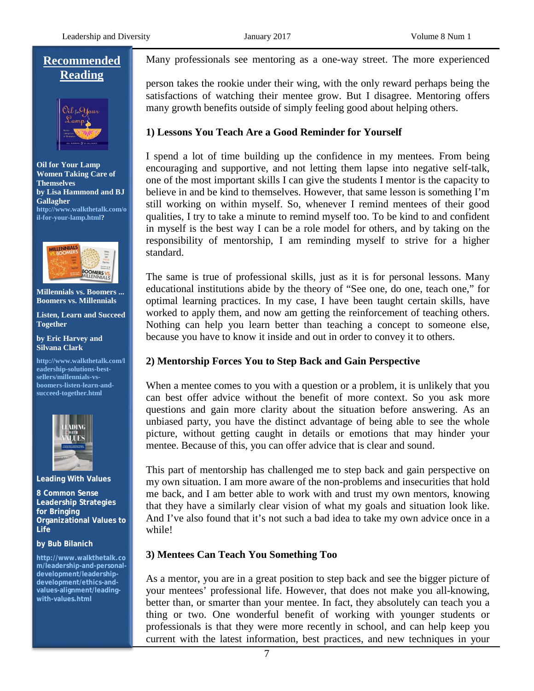# **Recommended Reading** <sup>)</sup>il for $\Omega$ four Lamp j **Oil for Your Lamp Women Taking Care of Themselves by Lisa Hammond and BJ Gallagher [http://www.walkthetalk.com/o](http://www.walkthetalk.com/oil-for-your-lamp.html) [il-for-your-lamp.html?](http://www.walkthetalk.com/oil-for-your-lamp.html) ILLENNIALS** Eisten<br>| Genen<br>| Genen<br>| Genenber **BOOMERS VS**<br>MILLENNIALS **Millennials vs. Boomers ... Boomers vs. Millennials Listen, Learn and Succeed Together by Eric Harvey and Silvana Clark [http://www.walkthetalk.com/l](http://www.walkthetalk.com/leadership-solutions-best-sellers/millennials-vs-boomers-listen-learn-and-succeed-together.html) [eadership-solutions-best](http://www.walkthetalk.com/leadership-solutions-best-sellers/millennials-vs-boomers-listen-learn-and-succeed-together.html)[sellers/millennials-vs](http://www.walkthetalk.com/leadership-solutions-best-sellers/millennials-vs-boomers-listen-learn-and-succeed-together.html)[boomers-listen-learn-and](http://www.walkthetalk.com/leadership-solutions-best-sellers/millennials-vs-boomers-listen-learn-and-succeed-together.html)[succeed-together.html](http://www.walkthetalk.com/leadership-solutions-best-sellers/millennials-vs-boomers-listen-learn-and-succeed-together.html)**

**Leading With Values**

**8 Common Sense Leadership Strategies for Bringing Organizational Values to Life** 

#### **by Bub Bilanich**

**[http://www.walkthetalk.co](http://www.walkthetalk.com/leadership-and-personal-development/leadership-development/ethics-and-values-alignment/leading-with-values.html) [m/leadership-and-personal](http://www.walkthetalk.com/leadership-and-personal-development/leadership-development/ethics-and-values-alignment/leading-with-values.html)[development/leadership](http://www.walkthetalk.com/leadership-and-personal-development/leadership-development/ethics-and-values-alignment/leading-with-values.html)[development/ethics-and](http://www.walkthetalk.com/leadership-and-personal-development/leadership-development/ethics-and-values-alignment/leading-with-values.html)[values-alignment/leading](http://www.walkthetalk.com/leadership-and-personal-development/leadership-development/ethics-and-values-alignment/leading-with-values.html)[with-values.html](http://www.walkthetalk.com/leadership-and-personal-development/leadership-development/ethics-and-values-alignment/leading-with-values.html)**

Many professionals see mentoring as a one-way street. The more experienced

person takes the rookie under their wing, with the only reward perhaps being the satisfactions of watching their mentee grow. But I disagree. Mentoring offers many growth benefits outside of simply feeling good about helping others.

### **1) Lessons You Teach Are a Good Reminder for Yourself**

I spend a lot of time building up the confidence in my mentees. From being encouraging and supportive, and not letting them lapse into negative self-talk, one of the most important skills I can give the students I mentor is the capacity to believe in and be kind to themselves. However, that same lesson is something I'm still working on within myself. So, whenever I remind mentees of their good qualities, I try to take a minute to remind myself too. To be kind to and confident in myself is the best way I can be a role model for others, and by taking on the responsibility of mentorship, I am reminding myself to strive for a higher standard.

The same is true of professional skills, just as it is for personal lessons. Many educational institutions abide by the theory of "See one, do one, teach one," for optimal learning practices. In my case, I have been taught certain skills, have worked to apply them, and now am getting the reinforcement of teaching others. Nothing can help you learn better than teaching a concept to someone else, because you have to know it inside and out in order to convey it to others.

### **2) Mentorship Forces You to Step Back and Gain Perspective**

When a mentee comes to you with a question or a problem, it is unlikely that you can best offer advice without the benefit of more context. So you ask more questions and gain more clarity about the situation before answering. As an unbiased party, you have the distinct advantage of being able to see the whole picture, without getting caught in details or emotions that may hinder your mentee. Because of this, you can offer advice that is clear and sound.

This part of mentorship has challenged me to step back and gain perspective on my own situation. I am more aware of the non-problems and insecurities that hold me back, and I am better able to work with and trust my own mentors, knowing that they have a similarly clear vision of what my goals and situation look like. And I've also found that it's not such a bad idea to take my own advice once in a while!

### **3) Mentees Can Teach You Something Too**

As a mentor, you are in a great position to step back and see the bigger picture of your mentees' professional life. However, that does not make you all-knowing, better than, or smarter than your mentee. In fact, they absolutely can teach you a thing or two. One wonderful benefit of working with younger students or professionals is that they were more recently in school, and can help keep you current with the latest information, best practices, and new techniques in your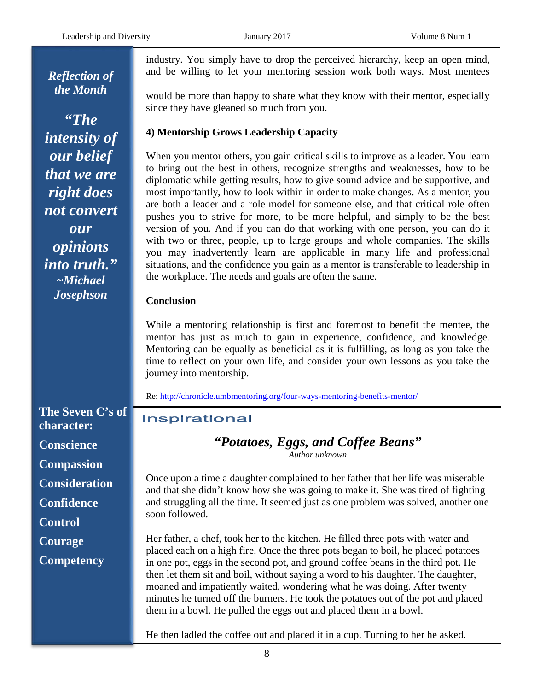## *Reflection of the Month*

*"The intensity of our belief that we are right does not convert our opinions into truth." ~Michael Josephson*

**The Seven C's of character: Conscience Compassion Consideration Confidence Control Courage Competency**

industry. You simply have to drop the perceived hierarchy, keep an open mind, and be willing to let your mentoring session work both ways. Most mentees

would be more than happy to share what they know with their mentor, especially since they have gleaned so much from you.

## **4) Mentorship Grows Leadership Capacity**

When you mentor others, you gain critical skills to improve as a leader. You learn to bring out the best in others, recognize strengths and weaknesses, how to be diplomatic while getting results, how to give sound advice and be supportive, and most importantly, how to look within in order to make changes. As a mentor, you are both a leader and a role model for someone else, and that critical role often pushes you to strive for more, to be more helpful, and simply to be the best version of you. And if you can do that working with one person, you can do it with two or three, people, up to large groups and whole companies. The skills you may inadvertently learn are applicable in many life and professional situations, and the confidence you gain as a mentor is transferable to leadership in the workplace. The needs and goals are often the same.

## **Conclusion**

While a mentoring relationship is first and foremost to benefit the mentee, the mentor has just as much to gain in experience, confidence, and knowledge. Mentoring can be equally as beneficial as it is fulfilling, as long as you take the time to reflect on your own life, and consider your own lessons as you take the journey into mentorship.

Re:<http://chronicle.umbmentoring.org/four-ways-mentoring-benefits-mentor/>

## <span id="page-7-0"></span>**Inspirational**

*"Potatoes, Eggs, and Coffee Beans"*

*Author unknown*

Once upon a time a daughter complained to her father that her life was miserable and that she didn't know how she was going to make it. She was tired of fighting and struggling all the time. It seemed just as one problem was solved, another one soon followed.

Her father, a chef, took her to the kitchen. He filled three pots with water and placed each on a high fire. Once the three pots began to boil, he placed potatoes in one pot, eggs in the second pot, and ground coffee beans in the third pot. He then let them sit and boil, without saying a word to his daughter. The daughter, moaned and impatiently waited, wondering what he was doing. After twenty minutes he turned off the burners. He took the potatoes out of the pot and placed them in a bowl. He pulled the eggs out and placed them in a bowl.

He then ladled the coffee out and placed it in a cup. Turning to her he asked.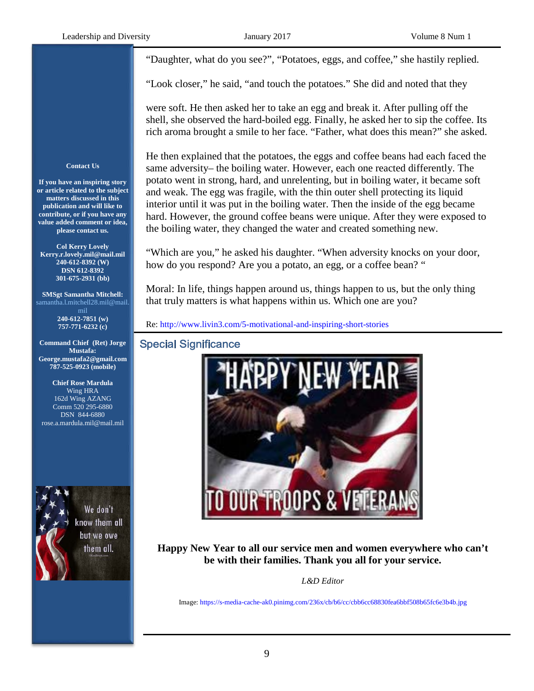"Daughter, what do you see?", "Potatoes, eggs, and coffee," she hastily replied.

"Look closer," he said, "and touch the potatoes." She did and noted that they

were soft. He then asked her to take an egg and break it. After pulling off the shell, she observed the hard-boiled egg. Finally, he asked her to sip the coffee. Its rich aroma brought a smile to her face. "Father, what does this mean?" she asked.

#### **Contact Us**

**If you have an inspiring story or article related to the subject matters discussed in this publication and will like to contribute, or if you have any value added comment or idea, please contact us.**

**Col Kerry Lovely [Kerry.r.lovely.mil@mail.mil](mailto:Kerry.r.lovely.mil@mail.mil) [240-612-8392](tel:240-612-8392) (W) DSN 612-8392 [301-675-2931](tel:301-675-2931) (bb)**

**SMSgt Samantha Mitchell:**  [samantha.l.mitchell28.mil@mail.](mailto:samantha.l.mitchell28.mil@mail.mil) [mil](mailto:samantha.l.mitchell28.mil@mail.mil)

**[240-612-7851](tel:240-612-7664) (w) [757-771-6232](tel:240-478-1718) (c)**

**Command Chief (Ret) Jorge Mustafa: [George.mustafa2@gmail.com](mailto:George.mustafa2@gmail.com) 787-525-0923 (mobile)**

**Chief Rose Mardula** Wing HRA 162d Wing AZANG Com[m 520 295-6880](tel:520%20295-6880) DSN 844-6880 rose.a.mardula.mil@mail.mil



know them all

He then explained that the potatoes, the eggs and coffee beans had each faced the same adversity– the boiling water. However, each one reacted differently. The potato went in strong, hard, and unrelenting, but in boiling water, it became soft and weak. The egg was fragile, with the thin outer shell protecting its liquid interior until it was put in the boiling water. Then the inside of the egg became hard. However, the ground coffee beans were unique. After they were exposed to the boiling water, they changed the water and created something new.

"Which are you," he asked his daughter. "When adversity knocks on your door, how do you respond? Are you a potato, an egg, or a coffee bean? "

Moral: In life, things happen around us, things happen to us, but the only thing that truly matters is what happens within us. Which one are you?

Re:<http://www.livin3.com/5-motivational-and-inspiring-short-stories>

### **Special Significance**



**Happy New Year to all our service men and women everywhere who can't be with their families. Thank you all for your service.**

*L&D Editor*

Image[: https://s-media-cache-ak0.pinimg.com/236x/cb/b6/cc/cbb6cc68830fea6bbf508b65fc6e3b4b.jpg](https://s-media-cache-ak0.pinimg.com/236x/cb/b6/cc/cbb6cc68830fea6bbf508b65fc6e3b4b.jpg)